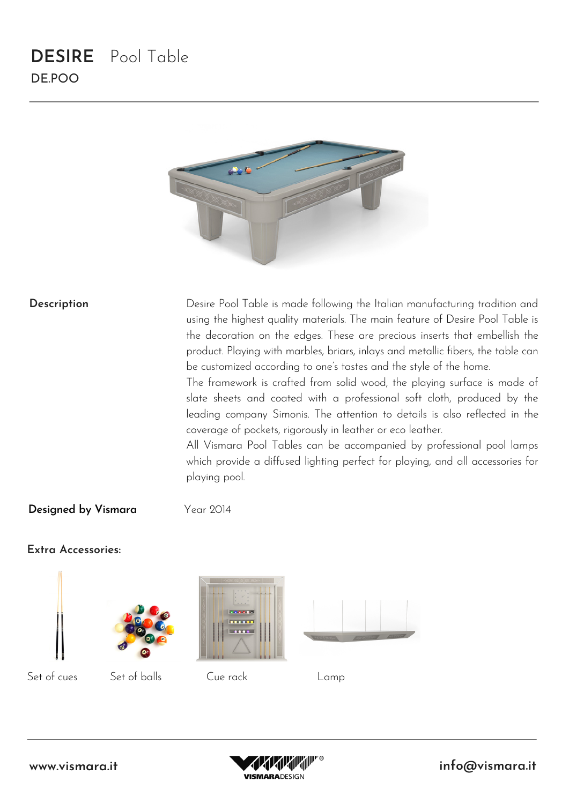## **DESIRE** Pool Table DE.POO



#### **Description**

Desire Pool Table is made following the Italian manufacturing tradition and using the highest quality materials. The main feature of Desire Pool Table is the decoration on the edges. These are precious inserts that embellish the product. Playing with marbles, briars, inlays and metallic fibers, the table can be customized according to one's tastes and the style of the home.

The framework is crafted from solid wood, the playing surface is made of slate sheets and coated with a professional soft cloth, produced by the leading company Simonis. The attention to details is also reflected in the coverage of pockets, rigorously in leather or eco leather.

All Vismara Pool Tables can be accompanied by professional pool lamps which provide a diffused lighting perfect for playing, and all accessories for playing pool.

#### **Designed by Vismara**

Year 2014

### **Extra Accessories:**













Set of cues Set of balls Cue rack Lamp

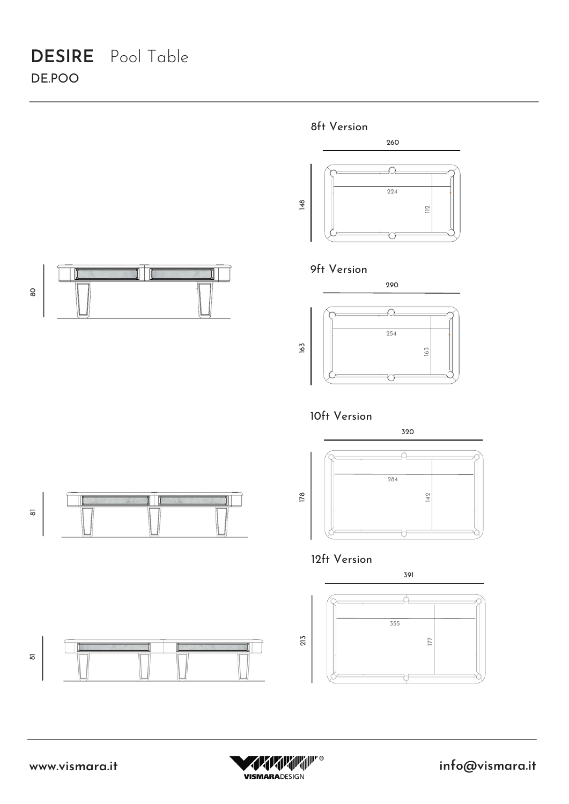# **DESIRE** Pool Table DE.POO